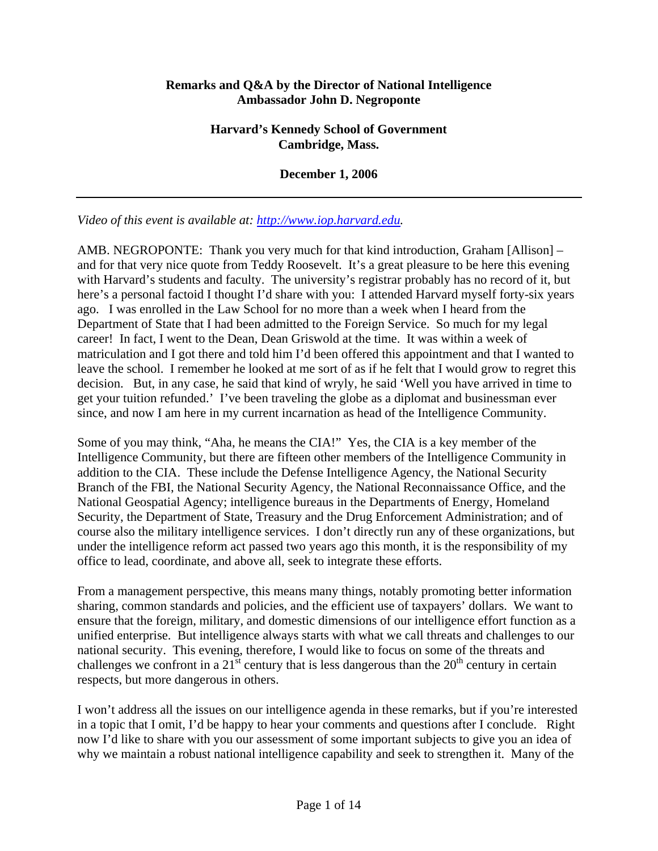## **Remarks and Q&A by the Director of National Intelligence Ambassador John D. Negroponte**

## **Harvard's Kennedy School of Government Cambridge, Mass.**

## **December 1, 2006**

*Video of this event is available at: [http://www.iop.harvard.edu.](http://www.iop.harvard.edu/)* 

AMB. NEGROPONTE: Thank you very much for that kind introduction, Graham [Allison] – and for that very nice quote from Teddy Roosevelt. It's a great pleasure to be here this evening with Harvard's students and faculty. The university's registrar probably has no record of it, but here's a personal factoid I thought I'd share with you: I attended Harvard myself forty-six years ago. I was enrolled in the Law School for no more than a week when I heard from the Department of State that I had been admitted to the Foreign Service. So much for my legal career! In fact, I went to the Dean, Dean Griswold at the time. It was within a week of matriculation and I got there and told him I'd been offered this appointment and that I wanted to leave the school. I remember he looked at me sort of as if he felt that I would grow to regret this decision. But, in any case, he said that kind of wryly, he said 'Well you have arrived in time to get your tuition refunded.' I've been traveling the globe as a diplomat and businessman ever since, and now I am here in my current incarnation as head of the Intelligence Community.

Some of you may think, "Aha, he means the CIA!" Yes, the CIA is a key member of the Intelligence Community, but there are fifteen other members of the Intelligence Community in addition to the CIA. These include the Defense Intelligence Agency, the National Security Branch of the FBI, the National Security Agency, the National Reconnaissance Office, and the National Geospatial Agency; intelligence bureaus in the Departments of Energy, Homeland Security, the Department of State, Treasury and the Drug Enforcement Administration; and of course also the military intelligence services. I don't directly run any of these organizations, but under the intelligence reform act passed two years ago this month, it is the responsibility of my office to lead, coordinate, and above all, seek to integrate these efforts.

From a management perspective, this means many things, notably promoting better information sharing, common standards and policies, and the efficient use of taxpayers' dollars. We want to ensure that the foreign, military, and domestic dimensions of our intelligence effort function as a unified enterprise. But intelligence always starts with what we call threats and challenges to our national security. This evening, therefore, I would like to focus on some of the threats and challenges we confront in a 21<sup>st</sup> century that is less dangerous than the  $20<sup>th</sup>$  century in certain respects, but more dangerous in others.

I won't address all the issues on our intelligence agenda in these remarks, but if you're interested in a topic that I omit, I'd be happy to hear your comments and questions after I conclude. Right now I'd like to share with you our assessment of some important subjects to give you an idea of why we maintain a robust national intelligence capability and seek to strengthen it. Many of the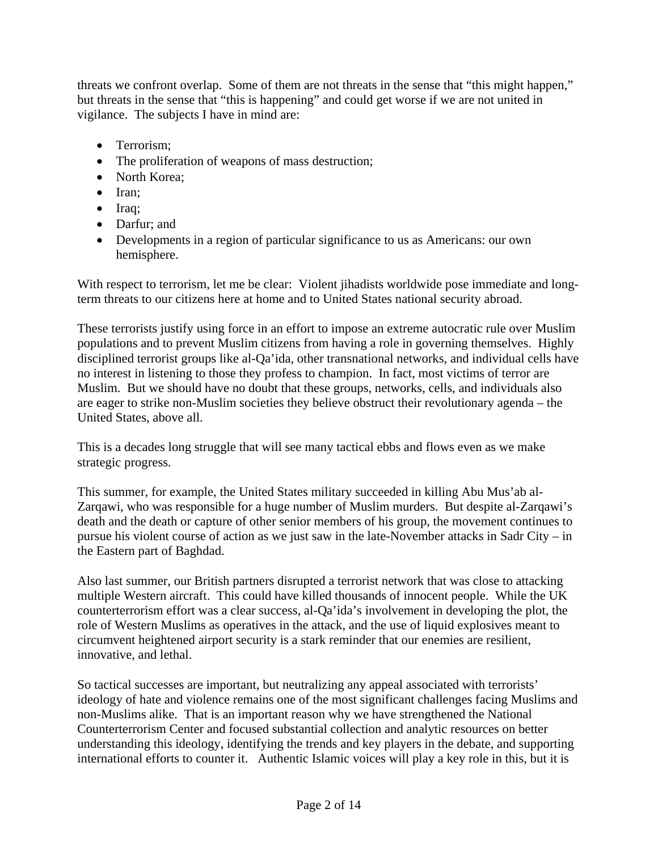threats we confront overlap. Some of them are not threats in the sense that "this might happen," but threats in the sense that "this is happening" and could get worse if we are not united in vigilance. The subjects I have in mind are:

- Terrorism:
- The proliferation of weapons of mass destruction;
- North Korea;
- Iran;
- Iraq;
- Darfur; and
- Developments in a region of particular significance to us as Americans: our own hemisphere.

With respect to terrorism, let me be clear: Violent jihadists worldwide pose immediate and longterm threats to our citizens here at home and to United States national security abroad.

These terrorists justify using force in an effort to impose an extreme autocratic rule over Muslim populations and to prevent Muslim citizens from having a role in governing themselves. Highly disciplined terrorist groups like al-Qa'ida, other transnational networks, and individual cells have no interest in listening to those they profess to champion. In fact, most victims of terror are Muslim. But we should have no doubt that these groups, networks, cells, and individuals also are eager to strike non-Muslim societies they believe obstruct their revolutionary agenda – the United States, above all.

This is a decades long struggle that will see many tactical ebbs and flows even as we make strategic progress.

This summer, for example, the United States military succeeded in killing Abu Mus'ab al-Zarqawi, who was responsible for a huge number of Muslim murders. But despite al-Zarqawi's death and the death or capture of other senior members of his group, the movement continues to pursue his violent course of action as we just saw in the late-November attacks in Sadr City – in the Eastern part of Baghdad.

Also last summer, our British partners disrupted a terrorist network that was close to attacking multiple Western aircraft. This could have killed thousands of innocent people. While the UK counterterrorism effort was a clear success, al-Qa'ida's involvement in developing the plot, the role of Western Muslims as operatives in the attack, and the use of liquid explosives meant to circumvent heightened airport security is a stark reminder that our enemies are resilient, innovative, and lethal.

So tactical successes are important, but neutralizing any appeal associated with terrorists' ideology of hate and violence remains one of the most significant challenges facing Muslims and non-Muslims alike. That is an important reason why we have strengthened the National Counterterrorism Center and focused substantial collection and analytic resources on better understanding this ideology, identifying the trends and key players in the debate, and supporting international efforts to counter it. Authentic Islamic voices will play a key role in this, but it is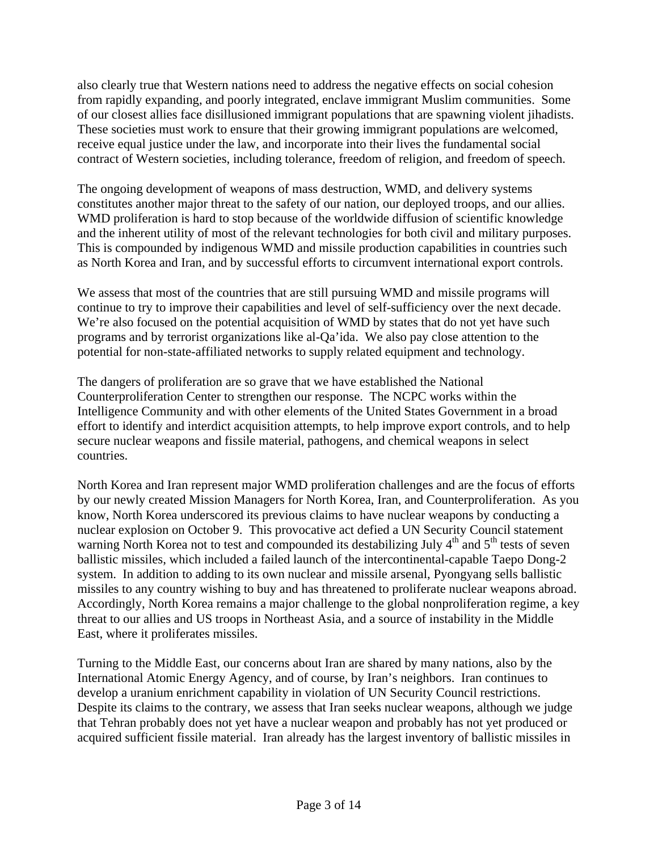also clearly true that Western nations need to address the negative effects on social cohesion from rapidly expanding, and poorly integrated, enclave immigrant Muslim communities. Some of our closest allies face disillusioned immigrant populations that are spawning violent jihadists. These societies must work to ensure that their growing immigrant populations are welcomed, receive equal justice under the law, and incorporate into their lives the fundamental social contract of Western societies, including tolerance, freedom of religion, and freedom of speech.

The ongoing development of weapons of mass destruction, WMD, and delivery systems constitutes another major threat to the safety of our nation, our deployed troops, and our allies. WMD proliferation is hard to stop because of the worldwide diffusion of scientific knowledge and the inherent utility of most of the relevant technologies for both civil and military purposes. This is compounded by indigenous WMD and missile production capabilities in countries such as North Korea and Iran, and by successful efforts to circumvent international export controls.

We assess that most of the countries that are still pursuing WMD and missile programs will continue to try to improve their capabilities and level of self-sufficiency over the next decade. We're also focused on the potential acquisition of WMD by states that do not yet have such programs and by terrorist organizations like al-Qa'ida. We also pay close attention to the potential for non-state-affiliated networks to supply related equipment and technology.

The dangers of proliferation are so grave that we have established the National Counterproliferation Center to strengthen our response. The NCPC works within the Intelligence Community and with other elements of the United States Government in a broad effort to identify and interdict acquisition attempts, to help improve export controls, and to help secure nuclear weapons and fissile material, pathogens, and chemical weapons in select countries.

North Korea and Iran represent major WMD proliferation challenges and are the focus of efforts by our newly created Mission Managers for North Korea, Iran, and Counterproliferation. As you know, North Korea underscored its previous claims to have nuclear weapons by conducting a nuclear explosion on October 9. This provocative act defied a UN Security Council statement warning North Korea not to test and compounded its destabilizing July  $4<sup>th</sup>$  and  $5<sup>th</sup>$  tests of seven ballistic missiles, which included a failed launch of the intercontinental-capable Taepo Dong-2 system. In addition to adding to its own nuclear and missile arsenal, Pyongyang sells ballistic missiles to any country wishing to buy and has threatened to proliferate nuclear weapons abroad. Accordingly, North Korea remains a major challenge to the global nonproliferation regime, a key threat to our allies and US troops in Northeast Asia, and a source of instability in the Middle East, where it proliferates missiles.

Turning to the Middle East, our concerns about Iran are shared by many nations, also by the International Atomic Energy Agency, and of course, by Iran's neighbors. Iran continues to develop a uranium enrichment capability in violation of UN Security Council restrictions. Despite its claims to the contrary, we assess that Iran seeks nuclear weapons, although we judge that Tehran probably does not yet have a nuclear weapon and probably has not yet produced or acquired sufficient fissile material. Iran already has the largest inventory of ballistic missiles in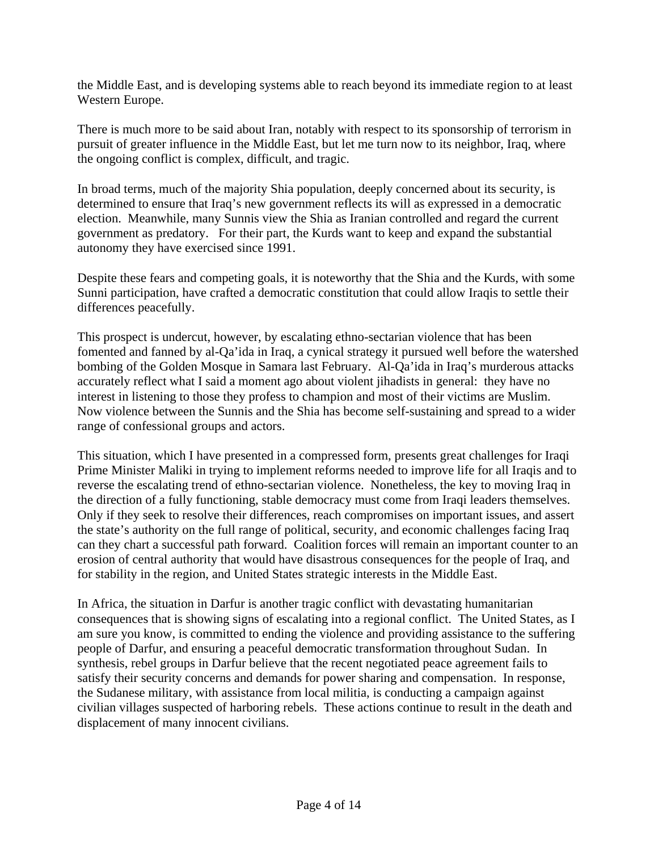the Middle East, and is developing systems able to reach beyond its immediate region to at least Western Europe.

There is much more to be said about Iran, notably with respect to its sponsorship of terrorism in pursuit of greater influence in the Middle East, but let me turn now to its neighbor, Iraq, where the ongoing conflict is complex, difficult, and tragic.

In broad terms, much of the majority Shia population, deeply concerned about its security, is determined to ensure that Iraq's new government reflects its will as expressed in a democratic election. Meanwhile, many Sunnis view the Shia as Iranian controlled and regard the current government as predatory. For their part, the Kurds want to keep and expand the substantial autonomy they have exercised since 1991.

Despite these fears and competing goals, it is noteworthy that the Shia and the Kurds, with some Sunni participation, have crafted a democratic constitution that could allow Iraqis to settle their differences peacefully.

This prospect is undercut, however, by escalating ethno-sectarian violence that has been fomented and fanned by al-Qa'ida in Iraq, a cynical strategy it pursued well before the watershed bombing of the Golden Mosque in Samara last February. Al-Qa'ida in Iraq's murderous attacks accurately reflect what I said a moment ago about violent jihadists in general: they have no interest in listening to those they profess to champion and most of their victims are Muslim. Now violence between the Sunnis and the Shia has become self-sustaining and spread to a wider range of confessional groups and actors.

This situation, which I have presented in a compressed form, presents great challenges for Iraqi Prime Minister Maliki in trying to implement reforms needed to improve life for all Iraqis and to reverse the escalating trend of ethno-sectarian violence. Nonetheless, the key to moving Iraq in the direction of a fully functioning, stable democracy must come from Iraqi leaders themselves. Only if they seek to resolve their differences, reach compromises on important issues, and assert the state's authority on the full range of political, security, and economic challenges facing Iraq can they chart a successful path forward. Coalition forces will remain an important counter to an erosion of central authority that would have disastrous consequences for the people of Iraq, and for stability in the region, and United States strategic interests in the Middle East.

In Africa, the situation in Darfur is another tragic conflict with devastating humanitarian consequences that is showing signs of escalating into a regional conflict. The United States, as I am sure you know, is committed to ending the violence and providing assistance to the suffering people of Darfur, and ensuring a peaceful democratic transformation throughout Sudan. In synthesis, rebel groups in Darfur believe that the recent negotiated peace agreement fails to satisfy their security concerns and demands for power sharing and compensation. In response, the Sudanese military, with assistance from local militia, is conducting a campaign against civilian villages suspected of harboring rebels. These actions continue to result in the death and displacement of many innocent civilians.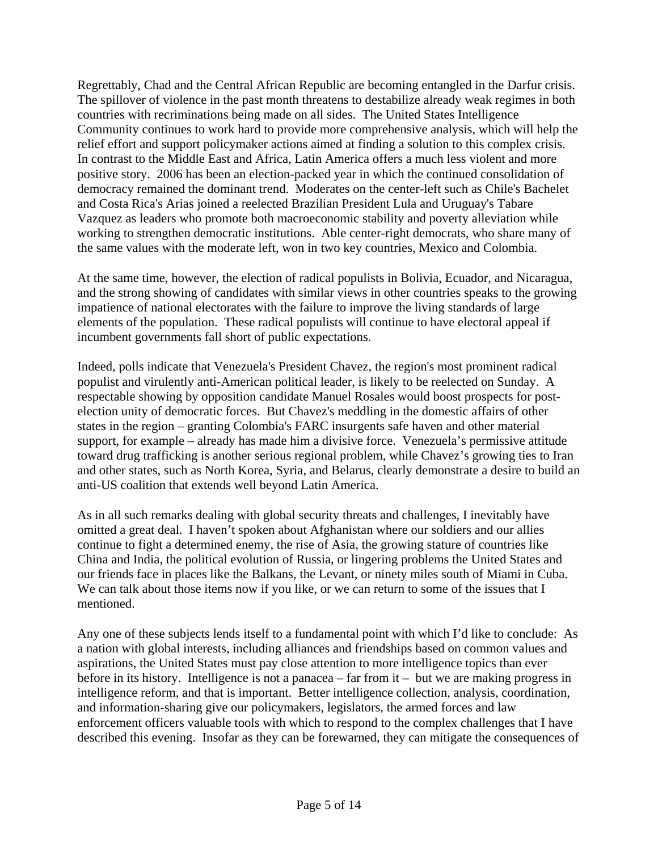Regrettably, Chad and the Central African Republic are becoming entangled in the Darfur crisis. The spillover of violence in the past month threatens to destabilize already weak regimes in both countries with recriminations being made on all sides. The United States Intelligence Community continues to work hard to provide more comprehensive analysis, which will help the relief effort and support policymaker actions aimed at finding a solution to this complex crisis. In contrast to the Middle East and Africa, Latin America offers a much less violent and more positive story. 2006 has been an election-packed year in which the continued consolidation of democracy remained the dominant trend. Moderates on the center-left such as Chile's Bachelet and Costa Rica's Arias joined a reelected Brazilian President Lula and Uruguay's Tabare Vazquez as leaders who promote both macroeconomic stability and poverty alleviation while working to strengthen democratic institutions. Able center-right democrats, who share many of the same values with the moderate left, won in two key countries, Mexico and Colombia.

At the same time, however, the election of radical populists in Bolivia, Ecuador, and Nicaragua, and the strong showing of candidates with similar views in other countries speaks to the growing impatience of national electorates with the failure to improve the living standards of large elements of the population. These radical populists will continue to have electoral appeal if incumbent governments fall short of public expectations.

Indeed, polls indicate that Venezuela's President Chavez, the region's most prominent radical populist and virulently anti-American political leader, is likely to be reelected on Sunday. A respectable showing by opposition candidate Manuel Rosales would boost prospects for postelection unity of democratic forces. But Chavez's meddling in the domestic affairs of other states in the region – granting Colombia's FARC insurgents safe haven and other material support, for example – already has made him a divisive force. Venezuela's permissive attitude toward drug trafficking is another serious regional problem, while Chavez's growing ties to Iran and other states, such as North Korea, Syria, and Belarus, clearly demonstrate a desire to build an anti-US coalition that extends well beyond Latin America.

As in all such remarks dealing with global security threats and challenges, I inevitably have omitted a great deal. I haven't spoken about Afghanistan where our soldiers and our allies continue to fight a determined enemy, the rise of Asia, the growing stature of countries like China and India, the political evolution of Russia, or lingering problems the United States and our friends face in places like the Balkans, the Levant, or ninety miles south of Miami in Cuba. We can talk about those items now if you like, or we can return to some of the issues that I mentioned.

Any one of these subjects lends itself to a fundamental point with which I'd like to conclude: As a nation with global interests, including alliances and friendships based on common values and aspirations, the United States must pay close attention to more intelligence topics than ever before in its history. Intelligence is not a panacea – far from it – but we are making progress in intelligence reform, and that is important. Better intelligence collection, analysis, coordination, and information-sharing give our policymakers, legislators, the armed forces and law enforcement officers valuable tools with which to respond to the complex challenges that I have described this evening. Insofar as they can be forewarned, they can mitigate the consequences of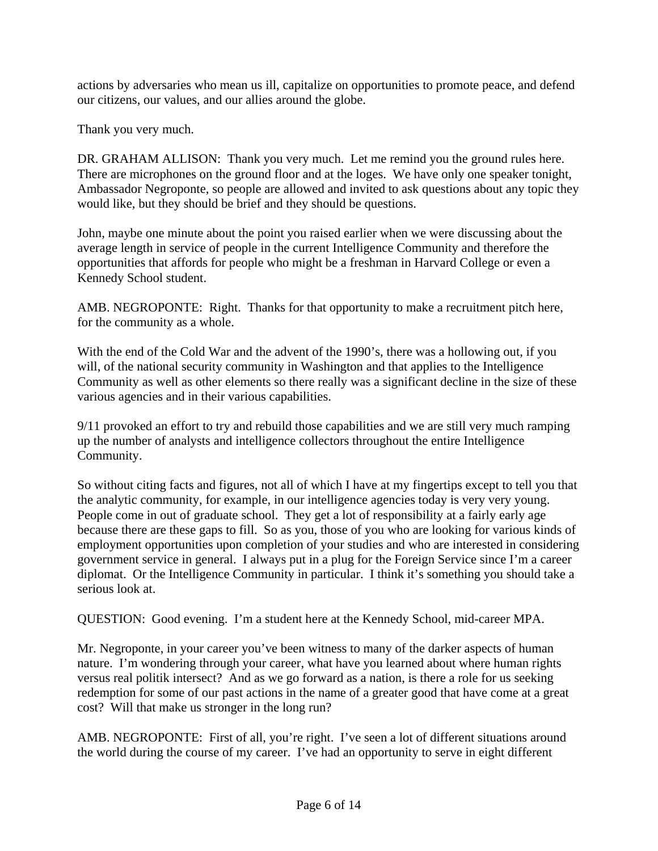actions by adversaries who mean us ill, capitalize on opportunities to promote peace, and defend our citizens, our values, and our allies around the globe.

Thank you very much.

DR. GRAHAM ALLISON: Thank you very much. Let me remind you the ground rules here. There are microphones on the ground floor and at the loges. We have only one speaker tonight, Ambassador Negroponte, so people are allowed and invited to ask questions about any topic they would like, but they should be brief and they should be questions.

John, maybe one minute about the point you raised earlier when we were discussing about the average length in service of people in the current Intelligence Community and therefore the opportunities that affords for people who might be a freshman in Harvard College or even a Kennedy School student.

AMB. NEGROPONTE: Right. Thanks for that opportunity to make a recruitment pitch here, for the community as a whole.

With the end of the Cold War and the advent of the 1990's, there was a hollowing out, if you will, of the national security community in Washington and that applies to the Intelligence Community as well as other elements so there really was a significant decline in the size of these various agencies and in their various capabilities.

9/11 provoked an effort to try and rebuild those capabilities and we are still very much ramping up the number of analysts and intelligence collectors throughout the entire Intelligence Community.

So without citing facts and figures, not all of which I have at my fingertips except to tell you that the analytic community, for example, in our intelligence agencies today is very very young. People come in out of graduate school. They get a lot of responsibility at a fairly early age because there are these gaps to fill. So as you, those of you who are looking for various kinds of employment opportunities upon completion of your studies and who are interested in considering government service in general. I always put in a plug for the Foreign Service since I'm a career diplomat. Or the Intelligence Community in particular. I think it's something you should take a serious look at.

QUESTION: Good evening. I'm a student here at the Kennedy School, mid-career MPA.

Mr. Negroponte, in your career you've been witness to many of the darker aspects of human nature. I'm wondering through your career, what have you learned about where human rights versus real politik intersect? And as we go forward as a nation, is there a role for us seeking redemption for some of our past actions in the name of a greater good that have come at a great cost? Will that make us stronger in the long run?

AMB. NEGROPONTE: First of all, you're right. I've seen a lot of different situations around the world during the course of my career. I've had an opportunity to serve in eight different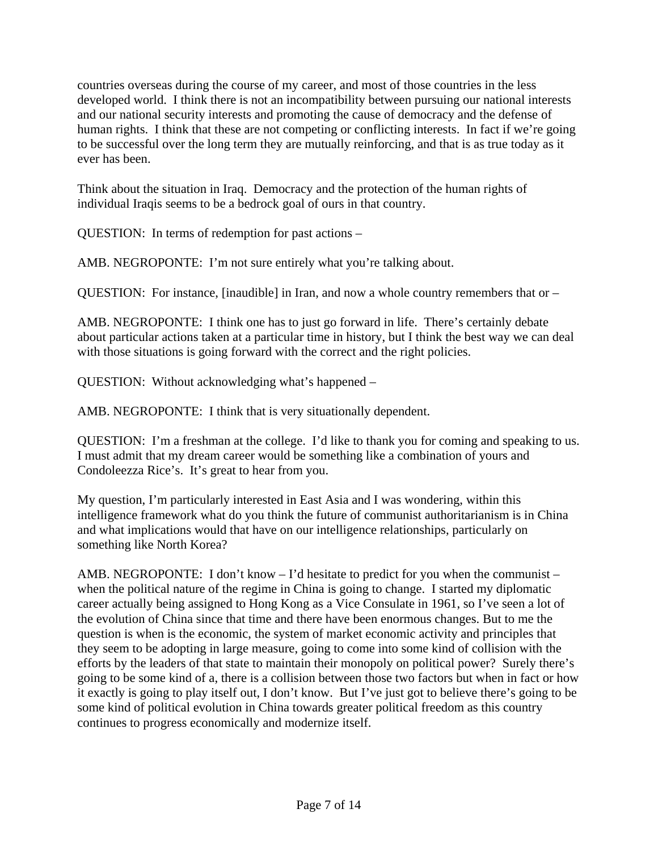countries overseas during the course of my career, and most of those countries in the less developed world. I think there is not an incompatibility between pursuing our national interests and our national security interests and promoting the cause of democracy and the defense of human rights. I think that these are not competing or conflicting interests. In fact if we're going to be successful over the long term they are mutually reinforcing, and that is as true today as it ever has been.

Think about the situation in Iraq. Democracy and the protection of the human rights of individual Iraqis seems to be a bedrock goal of ours in that country.

QUESTION: In terms of redemption for past actions –

AMB. NEGROPONTE: I'm not sure entirely what you're talking about.

QUESTION: For instance, [inaudible] in Iran, and now a whole country remembers that or  $-$ 

AMB. NEGROPONTE: I think one has to just go forward in life. There's certainly debate about particular actions taken at a particular time in history, but I think the best way we can deal with those situations is going forward with the correct and the right policies.

QUESTION: Without acknowledging what's happened –

AMB. NEGROPONTE: I think that is very situationally dependent.

QUESTION: I'm a freshman at the college. I'd like to thank you for coming and speaking to us. I must admit that my dream career would be something like a combination of yours and Condoleezza Rice's. It's great to hear from you.

My question, I'm particularly interested in East Asia and I was wondering, within this intelligence framework what do you think the future of communist authoritarianism is in China and what implications would that have on our intelligence relationships, particularly on something like North Korea?

AMB. NEGROPONTE: I don't know  $-I$ 'd hesitate to predict for you when the communist – when the political nature of the regime in China is going to change. I started my diplomatic career actually being assigned to Hong Kong as a Vice Consulate in 1961, so I've seen a lot of the evolution of China since that time and there have been enormous changes. But to me the question is when is the economic, the system of market economic activity and principles that they seem to be adopting in large measure, going to come into some kind of collision with the efforts by the leaders of that state to maintain their monopoly on political power? Surely there's going to be some kind of a, there is a collision between those two factors but when in fact or how it exactly is going to play itself out, I don't know. But I've just got to believe there's going to be some kind of political evolution in China towards greater political freedom as this country continues to progress economically and modernize itself.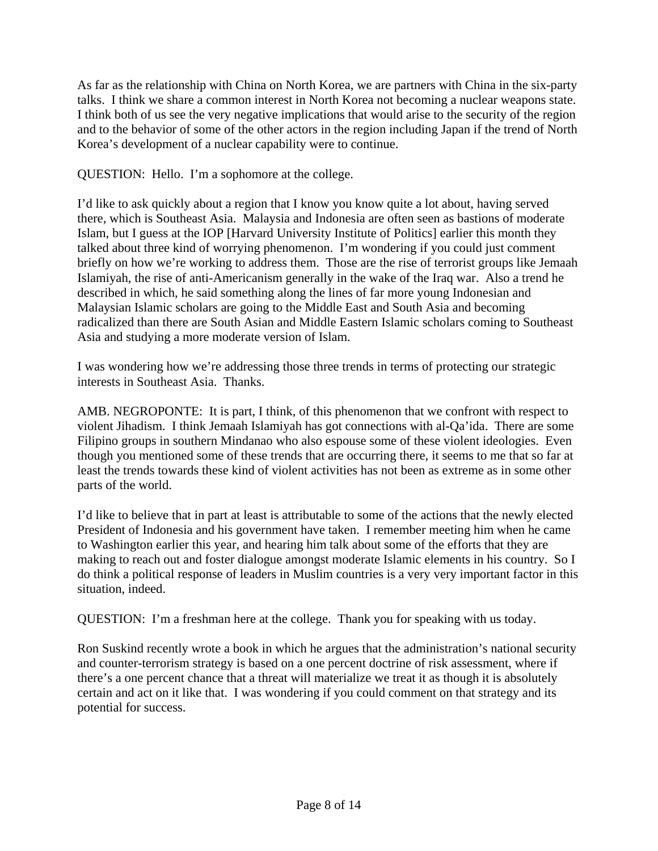As far as the relationship with China on North Korea, we are partners with China in the six-party talks. I think we share a common interest in North Korea not becoming a nuclear weapons state. I think both of us see the very negative implications that would arise to the security of the region and to the behavior of some of the other actors in the region including Japan if the trend of North Korea's development of a nuclear capability were to continue.

QUESTION: Hello. I'm a sophomore at the college.

I'd like to ask quickly about a region that I know you know quite a lot about, having served there, which is Southeast Asia. Malaysia and Indonesia are often seen as bastions of moderate Islam, but I guess at the IOP [Harvard University Institute of Politics] earlier this month they talked about three kind of worrying phenomenon. I'm wondering if you could just comment briefly on how we're working to address them. Those are the rise of terrorist groups like Jemaah Islamiyah, the rise of anti-Americanism generally in the wake of the Iraq war. Also a trend he described in which, he said something along the lines of far more young Indonesian and Malaysian Islamic scholars are going to the Middle East and South Asia and becoming radicalized than there are South Asian and Middle Eastern Islamic scholars coming to Southeast Asia and studying a more moderate version of Islam.

I was wondering how we're addressing those three trends in terms of protecting our strategic interests in Southeast Asia. Thanks.

AMB. NEGROPONTE: It is part, I think, of this phenomenon that we confront with respect to violent Jihadism. I think Jemaah Islamiyah has got connections with al-Qa'ida. There are some Filipino groups in southern Mindanao who also espouse some of these violent ideologies. Even though you mentioned some of these trends that are occurring there, it seems to me that so far at least the trends towards these kind of violent activities has not been as extreme as in some other parts of the world.

I'd like to believe that in part at least is attributable to some of the actions that the newly elected President of Indonesia and his government have taken. I remember meeting him when he came to Washington earlier this year, and hearing him talk about some of the efforts that they are making to reach out and foster dialogue amongst moderate Islamic elements in his country. So I do think a political response of leaders in Muslim countries is a very very important factor in this situation, indeed.

QUESTION: I'm a freshman here at the college. Thank you for speaking with us today.

Ron Suskind recently wrote a book in which he argues that the administration's national security and counter-terrorism strategy is based on a one percent doctrine of risk assessment, where if there's a one percent chance that a threat will materialize we treat it as though it is absolutely certain and act on it like that. I was wondering if you could comment on that strategy and its potential for success.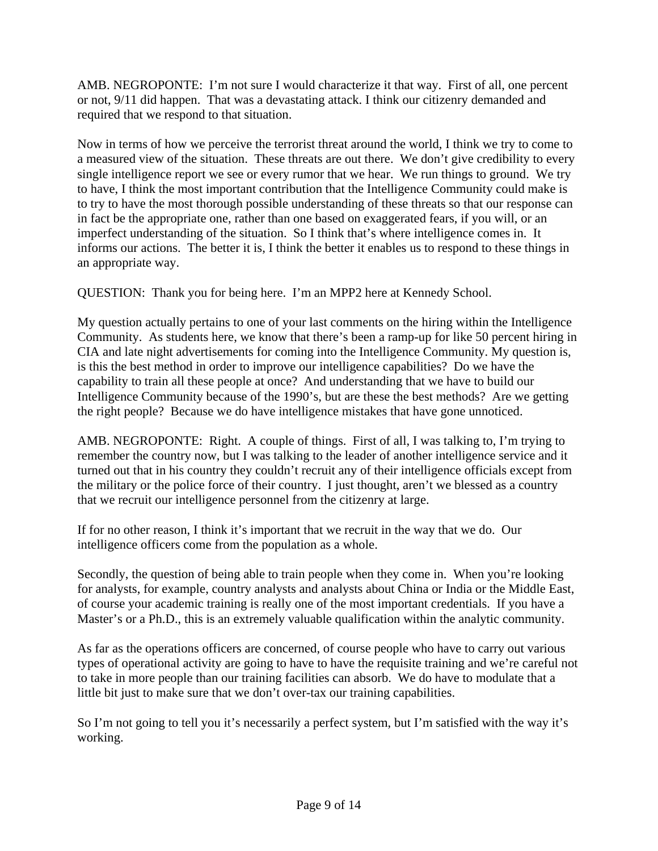AMB. NEGROPONTE: I'm not sure I would characterize it that way. First of all, one percent or not, 9/11 did happen. That was a devastating attack. I think our citizenry demanded and required that we respond to that situation.

Now in terms of how we perceive the terrorist threat around the world, I think we try to come to a measured view of the situation. These threats are out there. We don't give credibility to every single intelligence report we see or every rumor that we hear. We run things to ground. We try to have, I think the most important contribution that the Intelligence Community could make is to try to have the most thorough possible understanding of these threats so that our response can in fact be the appropriate one, rather than one based on exaggerated fears, if you will, or an imperfect understanding of the situation. So I think that's where intelligence comes in. It informs our actions. The better it is, I think the better it enables us to respond to these things in an appropriate way.

QUESTION: Thank you for being here. I'm an MPP2 here at Kennedy School.

My question actually pertains to one of your last comments on the hiring within the Intelligence Community. As students here, we know that there's been a ramp-up for like 50 percent hiring in CIA and late night advertisements for coming into the Intelligence Community. My question is, is this the best method in order to improve our intelligence capabilities? Do we have the capability to train all these people at once? And understanding that we have to build our Intelligence Community because of the 1990's, but are these the best methods? Are we getting the right people? Because we do have intelligence mistakes that have gone unnoticed.

AMB. NEGROPONTE: Right. A couple of things. First of all, I was talking to, I'm trying to remember the country now, but I was talking to the leader of another intelligence service and it turned out that in his country they couldn't recruit any of their intelligence officials except from the military or the police force of their country. I just thought, aren't we blessed as a country that we recruit our intelligence personnel from the citizenry at large.

If for no other reason, I think it's important that we recruit in the way that we do. Our intelligence officers come from the population as a whole.

Secondly, the question of being able to train people when they come in. When you're looking for analysts, for example, country analysts and analysts about China or India or the Middle East, of course your academic training is really one of the most important credentials. If you have a Master's or a Ph.D., this is an extremely valuable qualification within the analytic community.

As far as the operations officers are concerned, of course people who have to carry out various types of operational activity are going to have to have the requisite training and we're careful not to take in more people than our training facilities can absorb. We do have to modulate that a little bit just to make sure that we don't over-tax our training capabilities.

So I'm not going to tell you it's necessarily a perfect system, but I'm satisfied with the way it's working.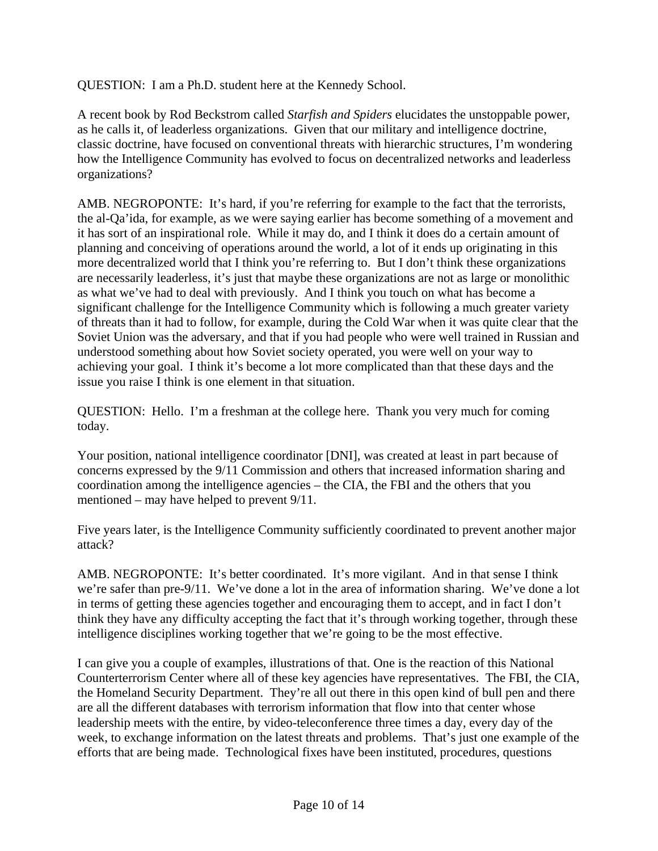QUESTION: I am a Ph.D. student here at the Kennedy School.

A recent book by Rod Beckstrom called *Starfish and Spiders* elucidates the unstoppable power, as he calls it, of leaderless organizations. Given that our military and intelligence doctrine, classic doctrine, have focused on conventional threats with hierarchic structures, I'm wondering how the Intelligence Community has evolved to focus on decentralized networks and leaderless organizations?

AMB. NEGROPONTE: It's hard, if you're referring for example to the fact that the terrorists, the al-Qa'ida, for example, as we were saying earlier has become something of a movement and it has sort of an inspirational role. While it may do, and I think it does do a certain amount of planning and conceiving of operations around the world, a lot of it ends up originating in this more decentralized world that I think you're referring to. But I don't think these organizations are necessarily leaderless, it's just that maybe these organizations are not as large or monolithic as what we've had to deal with previously. And I think you touch on what has become a significant challenge for the Intelligence Community which is following a much greater variety of threats than it had to follow, for example, during the Cold War when it was quite clear that the Soviet Union was the adversary, and that if you had people who were well trained in Russian and understood something about how Soviet society operated, you were well on your way to achieving your goal. I think it's become a lot more complicated than that these days and the issue you raise I think is one element in that situation.

QUESTION: Hello. I'm a freshman at the college here. Thank you very much for coming today.

Your position, national intelligence coordinator [DNI], was created at least in part because of concerns expressed by the 9/11 Commission and others that increased information sharing and coordination among the intelligence agencies – the CIA, the FBI and the others that you mentioned – may have helped to prevent 9/11.

Five years later, is the Intelligence Community sufficiently coordinated to prevent another major attack?

AMB. NEGROPONTE: It's better coordinated. It's more vigilant. And in that sense I think we're safer than pre-9/11. We've done a lot in the area of information sharing. We've done a lot in terms of getting these agencies together and encouraging them to accept, and in fact I don't think they have any difficulty accepting the fact that it's through working together, through these intelligence disciplines working together that we're going to be the most effective.

I can give you a couple of examples, illustrations of that. One is the reaction of this National Counterterrorism Center where all of these key agencies have representatives. The FBI, the CIA, the Homeland Security Department. They're all out there in this open kind of bull pen and there are all the different databases with terrorism information that flow into that center whose leadership meets with the entire, by video-teleconference three times a day, every day of the week, to exchange information on the latest threats and problems. That's just one example of the efforts that are being made. Technological fixes have been instituted, procedures, questions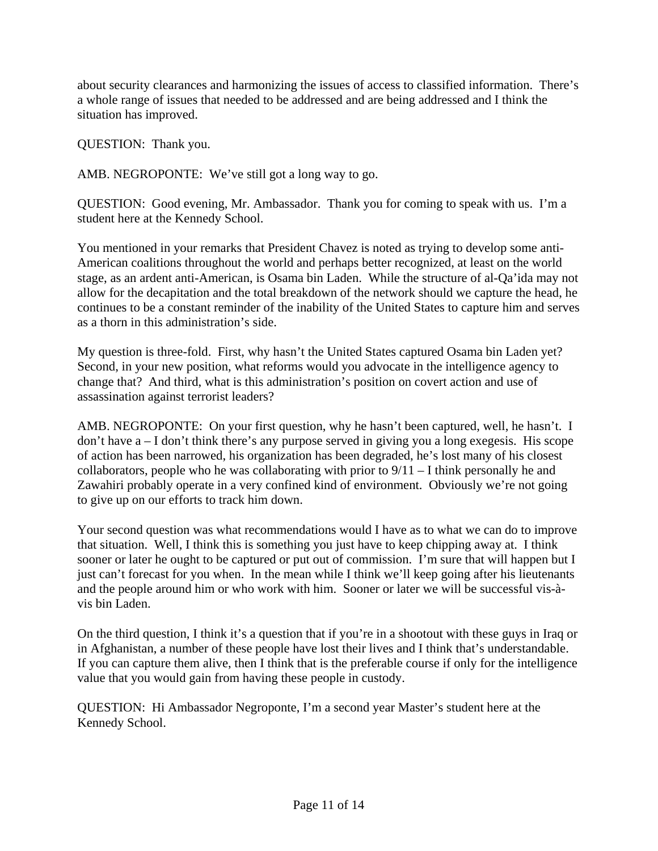about security clearances and harmonizing the issues of access to classified information. There's a whole range of issues that needed to be addressed and are being addressed and I think the situation has improved.

QUESTION: Thank you.

AMB. NEGROPONTE: We've still got a long way to go.

QUESTION: Good evening, Mr. Ambassador. Thank you for coming to speak with us. I'm a student here at the Kennedy School.

You mentioned in your remarks that President Chavez is noted as trying to develop some anti-American coalitions throughout the world and perhaps better recognized, at least on the world stage, as an ardent anti-American, is Osama bin Laden. While the structure of al-Qa'ida may not allow for the decapitation and the total breakdown of the network should we capture the head, he continues to be a constant reminder of the inability of the United States to capture him and serves as a thorn in this administration's side.

My question is three-fold. First, why hasn't the United States captured Osama bin Laden yet? Second, in your new position, what reforms would you advocate in the intelligence agency to change that? And third, what is this administration's position on covert action and use of assassination against terrorist leaders?

AMB. NEGROPONTE: On your first question, why he hasn't been captured, well, he hasn't. I don't have a – I don't think there's any purpose served in giving you a long exegesis. His scope of action has been narrowed, his organization has been degraded, he's lost many of his closest collaborators, people who he was collaborating with prior to  $9/11 - I$  think personally he and Zawahiri probably operate in a very confined kind of environment. Obviously we're not going to give up on our efforts to track him down.

Your second question was what recommendations would I have as to what we can do to improve that situation. Well, I think this is something you just have to keep chipping away at. I think sooner or later he ought to be captured or put out of commission. I'm sure that will happen but I just can't forecast for you when. In the mean while I think we'll keep going after his lieutenants and the people around him or who work with him. Sooner or later we will be successful vis-àvis bin Laden.

On the third question, I think it's a question that if you're in a shootout with these guys in Iraq or in Afghanistan, a number of these people have lost their lives and I think that's understandable. If you can capture them alive, then I think that is the preferable course if only for the intelligence value that you would gain from having these people in custody.

QUESTION: Hi Ambassador Negroponte, I'm a second year Master's student here at the Kennedy School.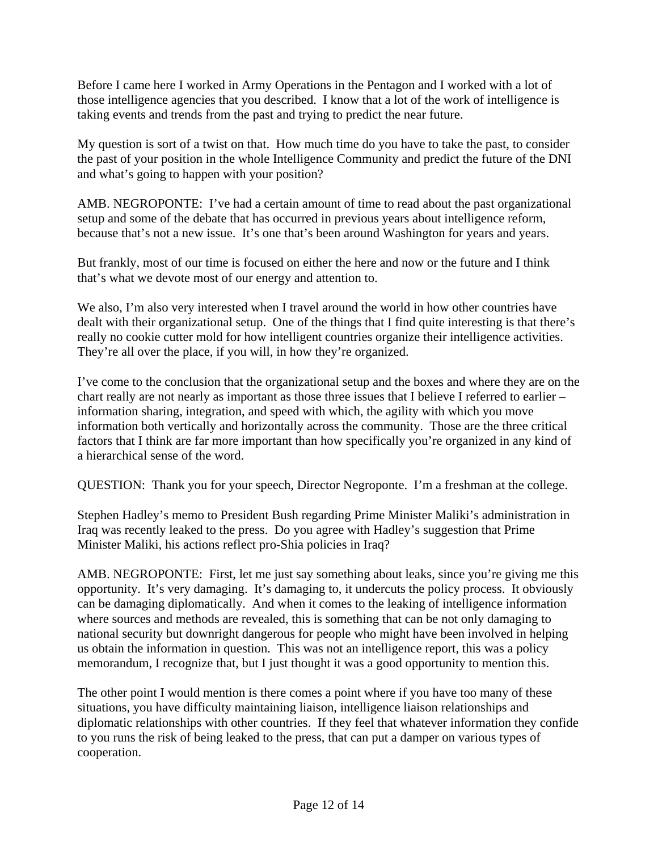Before I came here I worked in Army Operations in the Pentagon and I worked with a lot of those intelligence agencies that you described. I know that a lot of the work of intelligence is taking events and trends from the past and trying to predict the near future.

My question is sort of a twist on that. How much time do you have to take the past, to consider the past of your position in the whole Intelligence Community and predict the future of the DNI and what's going to happen with your position?

AMB. NEGROPONTE: I've had a certain amount of time to read about the past organizational setup and some of the debate that has occurred in previous years about intelligence reform, because that's not a new issue. It's one that's been around Washington for years and years.

But frankly, most of our time is focused on either the here and now or the future and I think that's what we devote most of our energy and attention to.

We also, I'm also very interested when I travel around the world in how other countries have dealt with their organizational setup. One of the things that I find quite interesting is that there's really no cookie cutter mold for how intelligent countries organize their intelligence activities. They're all over the place, if you will, in how they're organized.

I've come to the conclusion that the organizational setup and the boxes and where they are on the chart really are not nearly as important as those three issues that I believe I referred to earlier – information sharing, integration, and speed with which, the agility with which you move information both vertically and horizontally across the community. Those are the three critical factors that I think are far more important than how specifically you're organized in any kind of a hierarchical sense of the word.

QUESTION: Thank you for your speech, Director Negroponte. I'm a freshman at the college.

Stephen Hadley's memo to President Bush regarding Prime Minister Maliki's administration in Iraq was recently leaked to the press. Do you agree with Hadley's suggestion that Prime Minister Maliki, his actions reflect pro-Shia policies in Iraq?

AMB. NEGROPONTE: First, let me just say something about leaks, since you're giving me this opportunity. It's very damaging. It's damaging to, it undercuts the policy process. It obviously can be damaging diplomatically. And when it comes to the leaking of intelligence information where sources and methods are revealed, this is something that can be not only damaging to national security but downright dangerous for people who might have been involved in helping us obtain the information in question. This was not an intelligence report, this was a policy memorandum, I recognize that, but I just thought it was a good opportunity to mention this.

The other point I would mention is there comes a point where if you have too many of these situations, you have difficulty maintaining liaison, intelligence liaison relationships and diplomatic relationships with other countries. If they feel that whatever information they confide to you runs the risk of being leaked to the press, that can put a damper on various types of cooperation.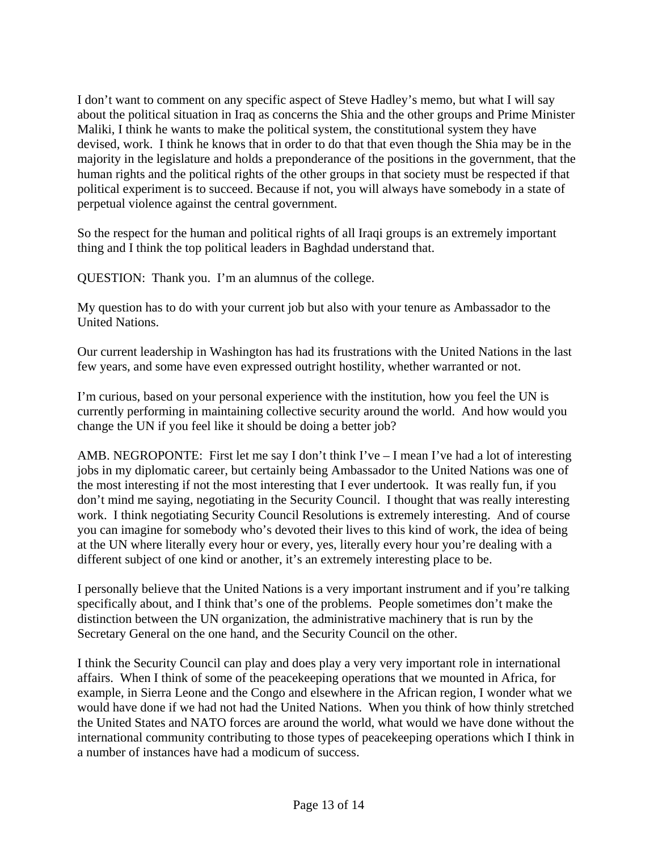I don't want to comment on any specific aspect of Steve Hadley's memo, but what I will say about the political situation in Iraq as concerns the Shia and the other groups and Prime Minister Maliki, I think he wants to make the political system, the constitutional system they have devised, work. I think he knows that in order to do that that even though the Shia may be in the majority in the legislature and holds a preponderance of the positions in the government, that the human rights and the political rights of the other groups in that society must be respected if that political experiment is to succeed. Because if not, you will always have somebody in a state of perpetual violence against the central government.

So the respect for the human and political rights of all Iraqi groups is an extremely important thing and I think the top political leaders in Baghdad understand that.

QUESTION: Thank you. I'm an alumnus of the college.

My question has to do with your current job but also with your tenure as Ambassador to the United Nations.

Our current leadership in Washington has had its frustrations with the United Nations in the last few years, and some have even expressed outright hostility, whether warranted or not.

I'm curious, based on your personal experience with the institution, how you feel the UN is currently performing in maintaining collective security around the world. And how would you change the UN if you feel like it should be doing a better job?

AMB. NEGROPONTE: First let me say I don't think I've – I mean I've had a lot of interesting jobs in my diplomatic career, but certainly being Ambassador to the United Nations was one of the most interesting if not the most interesting that I ever undertook. It was really fun, if you don't mind me saying, negotiating in the Security Council. I thought that was really interesting work. I think negotiating Security Council Resolutions is extremely interesting. And of course you can imagine for somebody who's devoted their lives to this kind of work, the idea of being at the UN where literally every hour or every, yes, literally every hour you're dealing with a different subject of one kind or another, it's an extremely interesting place to be.

I personally believe that the United Nations is a very important instrument and if you're talking specifically about, and I think that's one of the problems. People sometimes don't make the distinction between the UN organization, the administrative machinery that is run by the Secretary General on the one hand, and the Security Council on the other.

I think the Security Council can play and does play a very very important role in international affairs. When I think of some of the peacekeeping operations that we mounted in Africa, for example, in Sierra Leone and the Congo and elsewhere in the African region, I wonder what we would have done if we had not had the United Nations. When you think of how thinly stretched the United States and NATO forces are around the world, what would we have done without the international community contributing to those types of peacekeeping operations which I think in a number of instances have had a modicum of success.